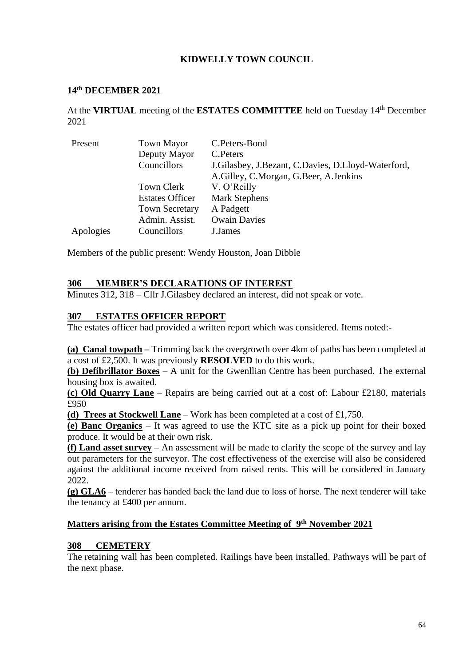# **KIDWELLY TOWN COUNCIL**

#### **14th DECEMBER 2021**

At the **VIRTUAL** meeting of the **ESTATES COMMITTEE** held on Tuesday 14th December 2021

| Present   | <b>Town Mayor</b>      | C.Peters-Bond                                          |
|-----------|------------------------|--------------------------------------------------------|
|           | Deputy Mayor           | C. Peters                                              |
|           | Councillors            | J. Gilasbey, J. Bezant, C. Davies, D. Lloyd-Waterford, |
|           |                        | A.Gilley, C.Morgan, G.Beer, A.Jenkins                  |
|           | Town Clerk             | V. O'Reilly                                            |
|           | <b>Estates Officer</b> | <b>Mark Stephens</b>                                   |
|           | <b>Town Secretary</b>  | A Padgett                                              |
|           | Admin. Assist.         | <b>Owain Davies</b>                                    |
| Apologies | Councillors            | J.James                                                |

Members of the public present: Wendy Houston, Joan Dibble

#### **306 MEMBER'S DECLARATIONS OF INTEREST**

Minutes 312, 318 – Cllr J.Gilasbey declared an interest, did not speak or vote.

## **307 ESTATES OFFICER REPORT**

The estates officer had provided a written report which was considered. Items noted:-

**(a) Canal towpath –** Trimming back the overgrowth over 4km of paths has been completed at a cost of £2,500. It was previously **RESOLVED** to do this work.

**(b) Defibrillator Boxes** – A unit for the Gwenllian Centre has been purchased. The external housing box is awaited.

**(c) Old Quarry Lane** – Repairs are being carried out at a cost of: Labour £2180, materials £950

**(d) Trees at Stockwell Lane** – Work has been completed at a cost of £1,750.

**(e) Banc Organics** – It was agreed to use the KTC site as a pick up point for their boxed produce. It would be at their own risk.

**(f) Land asset survey** – An assessment will be made to clarify the scope of the survey and lay out parameters for the surveyor. The cost effectiveness of the exercise will also be considered against the additional income received from raised rents. This will be considered in January 2022.

**(g) GLA6** – tenderer has handed back the land due to loss of horse. The next tenderer will take the tenancy at £400 per annum.

#### **Matters arising from the Estates Committee Meeting of 9 th November 2021**

#### **308 CEMETERY**

The retaining wall has been completed. Railings have been installed. Pathways will be part of the next phase.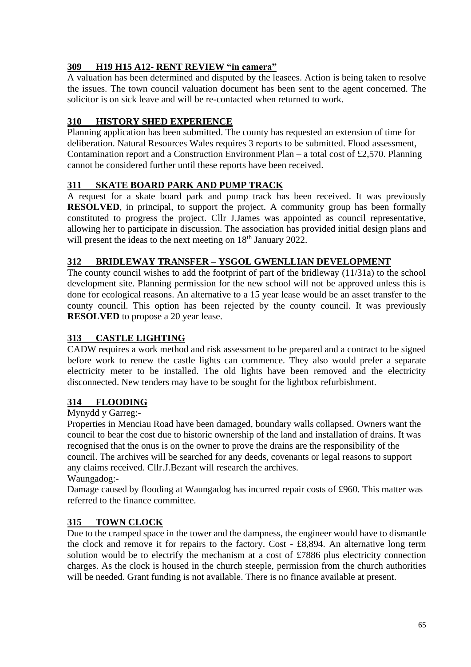# **309 H19 H15 A12- RENT REVIEW "in camera"**

A valuation has been determined and disputed by the leasees. Action is being taken to resolve the issues. The town council valuation document has been sent to the agent concerned. The solicitor is on sick leave and will be re-contacted when returned to work.

# **310 HISTORY SHED EXPERIENCE**

Planning application has been submitted. The county has requested an extension of time for deliberation. Natural Resources Wales requires 3 reports to be submitted. Flood assessment, Contamination report and a Construction Environment Plan – a total cost of £2,570. Planning cannot be considered further until these reports have been received.

# **311 SKATE BOARD PARK AND PUMP TRACK**

A request for a skate board park and pump track has been received. It was previously **RESOLVED**, in principal, to support the project. A community group has been formally constituted to progress the project. Cllr J.James was appointed as council representative, allowing her to participate in discussion. The association has provided initial design plans and will present the ideas to the next meeting on 18<sup>th</sup> January 2022.

## **312 BRIDLEWAY TRANSFER – YSGOL GWENLLIAN DEVELOPMENT**

The county council wishes to add the footprint of part of the bridleway (11/31a) to the school development site. Planning permission for the new school will not be approved unless this is done for ecological reasons. An alternative to a 15 year lease would be an asset transfer to the county council. This option has been rejected by the county council. It was previously **RESOLVED** to propose a 20 year lease.

## **313 CASTLE LIGHTING**

CADW requires a work method and risk assessment to be prepared and a contract to be signed before work to renew the castle lights can commence. They also would prefer a separate electricity meter to be installed. The old lights have been removed and the electricity disconnected. New tenders may have to be sought for the lightbox refurbishment.

## **314 FLOODING**

Mynydd y Garreg:-

Properties in Menciau Road have been damaged, boundary walls collapsed. Owners want the council to bear the cost due to historic ownership of the land and installation of drains. It was recognised that the onus is on the owner to prove the drains are the responsibility of the council. The archives will be searched for any deeds, covenants or legal reasons to support any claims received. Cllr.J.Bezant will research the archives.

Waungadog:-

Damage caused by flooding at Waungadog has incurred repair costs of £960. This matter was referred to the finance committee.

## **315 TOWN CLOCK**

Due to the cramped space in the tower and the dampness, the engineer would have to dismantle the clock and remove it for repairs to the factory. Cost - £8,894. An alternative long term solution would be to electrify the mechanism at a cost of £7886 plus electricity connection charges. As the clock is housed in the church steeple, permission from the church authorities will be needed. Grant funding is not available. There is no finance available at present.